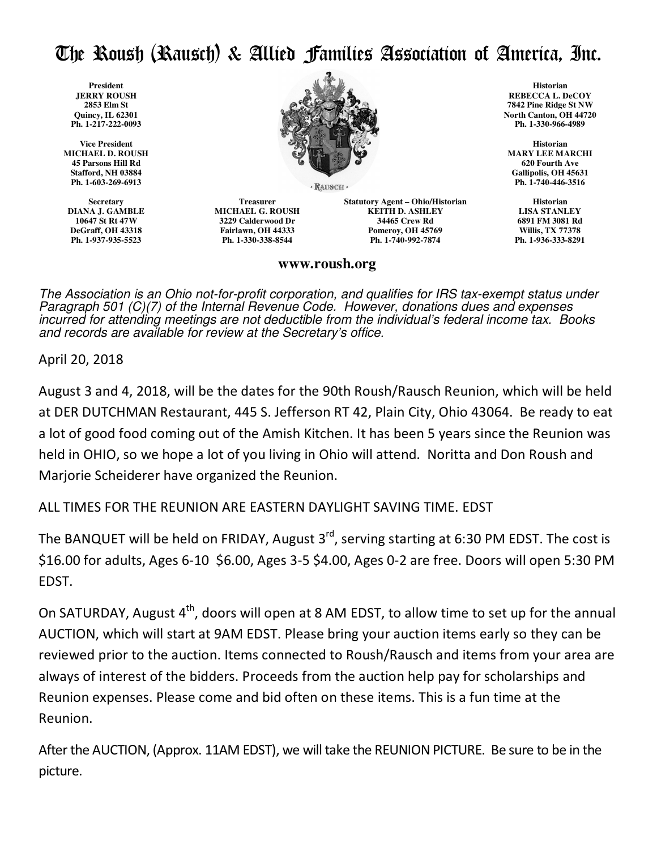## The Roush (Rausch) & Allied Families Association of America, Inc.

 **President JERRY ROUSH 2853 Elm St Quincy, IL 62301 Ph. 1-217-222-0093** 

**Vice President MICHAEL D. ROUSH 45 Parsons Hill Rd Stafford, NH 03884 Ph. 1-603-269-6913**

**Secretary DIANA J. GAMBLE 10647 St Rt 47W DeGraff, OH 43318 Ph. 1-937-935-5523** 



· RAUSCH ·

**Treasurer MICHAEL G. ROUSH 3229 Calderwood Dr Fairlawn, OH 44333 Ph. 1-330-338-8544**

**Statutory Agent – Ohio/Historian KEITH D. ASHLEY 34465 Crew Rd Pomeroy, OH 45769 Ph. 1-740-992-7874**

## **Historian REBECCA L. DeCOY 7842 Pine Ridge St NW North Canton, OH 44720 Ph. 1-330-966-4989**

**Historian MARY LEE MARCHI 620 Fourth Ave Gallipolis, OH 45631 Ph. 1-740-446-3516** 

**Historian LISA STANLEY 6891 FM 3081 Rd Willis, TX 77378 Ph. 1-936-333-8291** 

## **www.roush.org**

The Association is an Ohio not-for-profit corporation, and qualifies for IRS tax-exempt status under Paragraph 501 (C)(7) of the Internal Revenue Code. However, donations dues and expenses incurred for attending meetings are not deductible from the individual's federal income tax. Books and records are available for review at the Secretary's office.

April 20, 2018

August 3 and 4, 2018, will be the dates for the 90th Roush/Rausch Reunion, which will be held at DER DUTCHMAN Restaurant, 445 S. Jefferson RT 42, Plain City, Ohio 43064. Be ready to eat a lot of good food coming out of the Amish Kitchen. It has been 5 years since the Reunion was held in OHIO, so we hope a lot of you living in Ohio will attend. Noritta and Don Roush and Marjorie Scheiderer have organized the Reunion.

ALL TIMES FOR THE REUNION ARE EASTERN DAYLIGHT SAVING TIME. EDST

The BANQUET will be held on FRIDAY, August  $3<sup>rd</sup>$ , serving starting at 6:30 PM EDST. The cost is \$16.00 for adults, Ages 6-10 \$6.00, Ages 3-5 \$4.00, Ages 0-2 are free. Doors will open 5:30 PM EDST.

On SATURDAY, August  $4<sup>th</sup>$ , doors will open at 8 AM EDST, to allow time to set up for the annual AUCTION, which will start at 9AM EDST. Please bring your auction items early so they can be reviewed prior to the auction. Items connected to Roush/Rausch and items from your area are always of interest of the bidders. Proceeds from the auction help pay for scholarships and Reunion expenses. Please come and bid often on these items. This is a fun time at the Reunion.

After the AUCTION, (Approx. 11AM EDST), we will take the REUNION PICTURE. Be sure to be in the picture.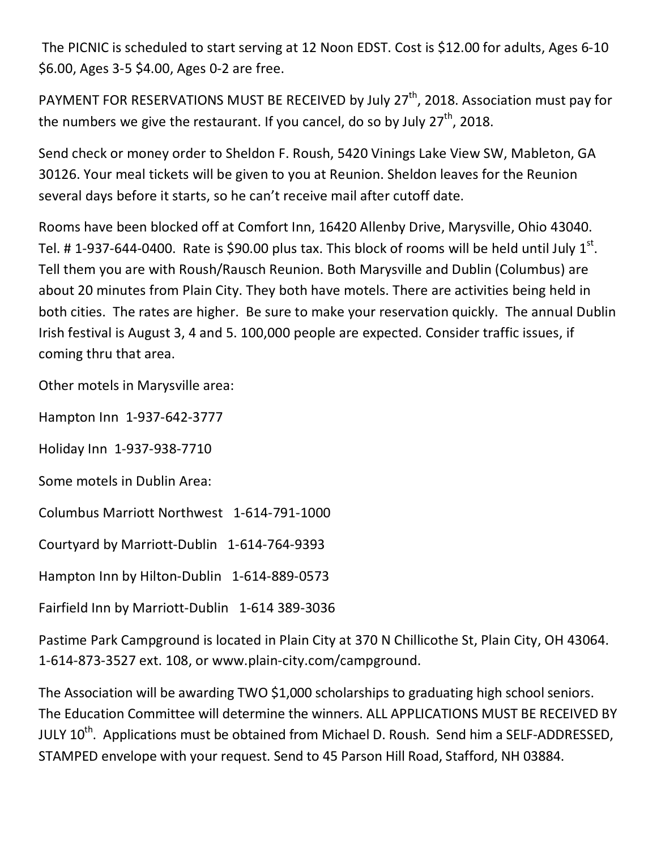The PICNIC is scheduled to start serving at 12 Noon EDST. Cost is \$12.00 for adults, Ages 6-10 \$6.00, Ages 3-5 \$4.00, Ages 0-2 are free.

PAYMENT FOR RESERVATIONS MUST BE RECEIVED by July 27<sup>th</sup>, 2018. Association must pay for the numbers we give the restaurant. If you cancel, do so by July  $27<sup>th</sup>$ , 2018.

Send check or money order to Sheldon F. Roush, 5420 Vinings Lake View SW, Mableton, GA 30126. Your meal tickets will be given to you at Reunion. Sheldon leaves for the Reunion several days before it starts, so he can't receive mail after cutoff date.

Rooms have been blocked off at Comfort Inn, 16420 Allenby Drive, Marysville, Ohio 43040. Tel. # 1-937-644-0400. Rate is \$90.00 plus tax. This block of rooms will be held until July 1<sup>st</sup>. Tell them you are with Roush/Rausch Reunion. Both Marysville and Dublin (Columbus) are about 20 minutes from Plain City. They both have motels. There are activities being held in both cities. The rates are higher. Be sure to make your reservation quickly. The annual Dublin Irish festival is August 3, 4 and 5. 100,000 people are expected. Consider traffic issues, if coming thru that area.

Other motels in Marysville area:

Hampton Inn 1-937-642-3777

Holiday Inn 1-937-938-7710

Some motels in Dublin Area:

Columbus Marriott Northwest 1-614-791-1000

Courtyard by Marriott-Dublin 1-614-764-9393

Hampton Inn by Hilton-Dublin 1-614-889-0573

Fairfield Inn by Marriott-Dublin 1-614 389-3036

Pastime Park Campground is located in Plain City at 370 N Chillicothe St, Plain City, OH 43064. 1-614-873-3527 ext. 108, or www.plain-city.com/campground.

The Association will be awarding TWO \$1,000 scholarships to graduating high school seniors. The Education Committee will determine the winners. ALL APPLICATIONS MUST BE RECEIVED BY JULY 10<sup>th</sup>. Applications must be obtained from Michael D. Roush. Send him a SELF-ADDRESSED, STAMPED envelope with your request. Send to 45 Parson Hill Road, Stafford, NH 03884.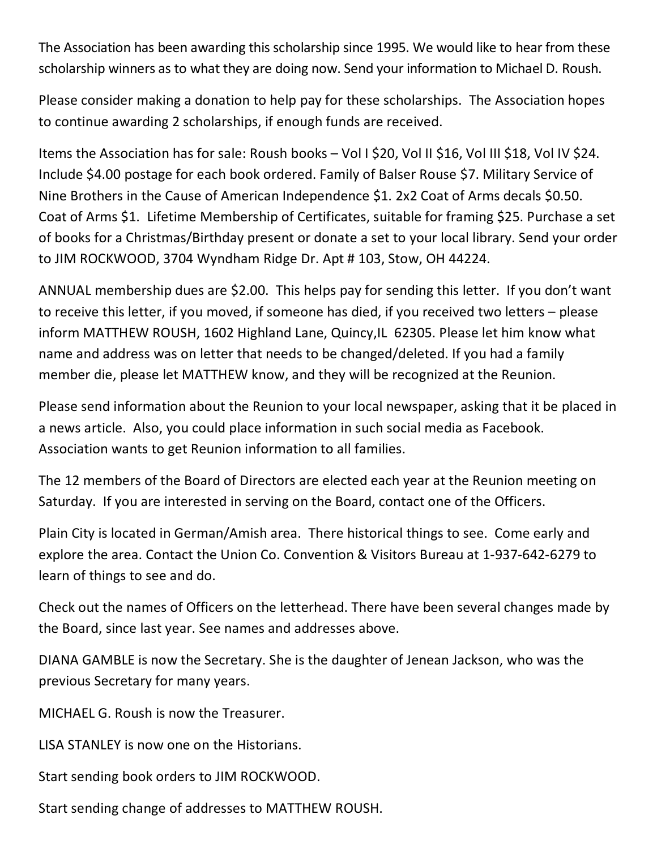The Association has been awarding this scholarship since 1995. We would like to hear from these scholarship winners as to what they are doing now. Send your information to Michael D. Roush.

Please consider making a donation to help pay for these scholarships. The Association hopes to continue awarding 2 scholarships, if enough funds are received.

Items the Association has for sale: Roush books - Vol I \$20, Vol II \$16, Vol III \$18, Vol IV \$24. Include \$4.00 postage for each book ordered. Family of Balser Rouse \$7. Military Service of Nine Brothers in the Cause of American Independence \$1. 2x2 Coat of Arms decals \$0.50. Coat of Arms \$1. Lifetime Membership of Certificates, suitable for framing \$25. Purchase a set of books for a Christmas/Birthday present or donate a set to your local library. Send your order to JIM ROCKWOOD, 3704 Wyndham Ridge Dr. Apt # 103, Stow, OH 44224.

ANNUAL membership dues are \$2.00. This helps pay for sending this letter. If you don't want to receive this letter, if you moved, if someone has died, if you received two letters – please inform MATTHEW ROUSH, 1602 Highland Lane, Quincy,IL 62305. Please let him know what name and address was on letter that needs to be changed/deleted. If you had a family member die, please let MATTHEW know, and they will be recognized at the Reunion.

Please send information about the Reunion to your local newspaper, asking that it be placed in a news article. Also, you could place information in such social media as Facebook. Association wants to get Reunion information to all families.

The 12 members of the Board of Directors are elected each year at the Reunion meeting on Saturday. If you are interested in serving on the Board, contact one of the Officers.

Plain City is located in German/Amish area. There historical things to see. Come early and explore the area. Contact the Union Co. Convention & Visitors Bureau at 1-937-642-6279 to learn of things to see and do.

Check out the names of Officers on the letterhead. There have been several changes made by the Board, since last year. See names and addresses above.

DIANA GAMBLE is now the Secretary. She is the daughter of Jenean Jackson, who was the previous Secretary for many years.

MICHAEL G. Roush is now the Treasurer.

LISA STANLEY is now one on the Historians.

Start sending book orders to JIM ROCKWOOD.

Start sending change of addresses to MATTHEW ROUSH.